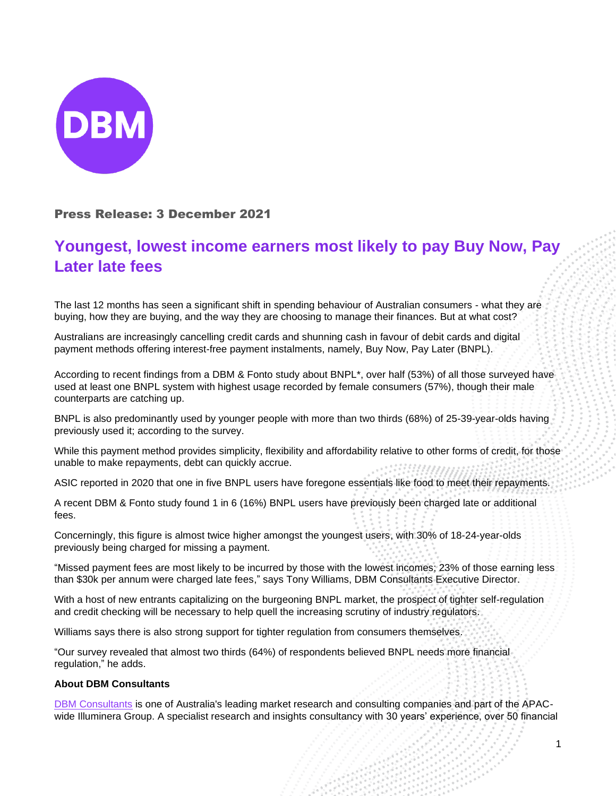

## Press Release: 3 December 2021

## **Youngest, lowest income earners most likely to pay Buy Now, Pay Later late fees**

The last 12 months has seen a significant shift in spending behaviour of Australian consumers - what they are buying, how they are buying, and the way they are choosing to manage their finances. But at what cost?

Australians are increasingly cancelling credit cards and shunning cash in favour of debit cards and digital payment methods offering interest-free payment instalments, namely, Buy Now, Pay Later (BNPL).

According to recent findings from a DBM & Fonto study about BNPL\*, over half (53%) of all those surveyed have used at least one BNPL system with highest usage recorded by female consumers (57%), though their male counterparts are catching up.

BNPL is also predominantly used by younger people with more than two thirds (68%) of 25-39-year-olds having previously used it; according to the survey.

While this payment method provides simplicity, flexibility and affordability relative to other forms of credit, for those unable to make repayments, debt can quickly accrue.

ASIC reported in 2020 that one in five BNPL users have foregone essentials like food to meet their repayments.

A recent DBM & Fonto study found 1 in 6 (16%) BNPL users have previously been charged late or additional fees.

Concerningly, this figure is almost twice higher amongst the youngest users, with 30% of 18-24-year-olds previously being charged for missing a payment.

"Missed payment fees are most likely to be incurred by those with the lowest incomes; 23% of those earning less than \$30k per annum were charged late fees," says Tony Williams, DBM Consultants Executive Director.

With a host of new entrants capitalizing on the burgeoning BNPL market, the prospect of tighter self-regulation and credit checking will be necessary to help quell the increasing scrutiny of industry regulators.

Williams says there is also strong support for tighter regulation from consumers themselves.

"Our survey revealed that almost two thirds (64%) of respondents believed BNPL needs more financial regulation," he adds.

## **About DBM Consultants**

[DBM Consultants](https://www.dbmconsultants.com.au/) is one of Australia's leading market research and consulting companies and part of the APACwide Illuminera Group. A specialist research and insights consultancy with 30 years' experience, over 50 financial